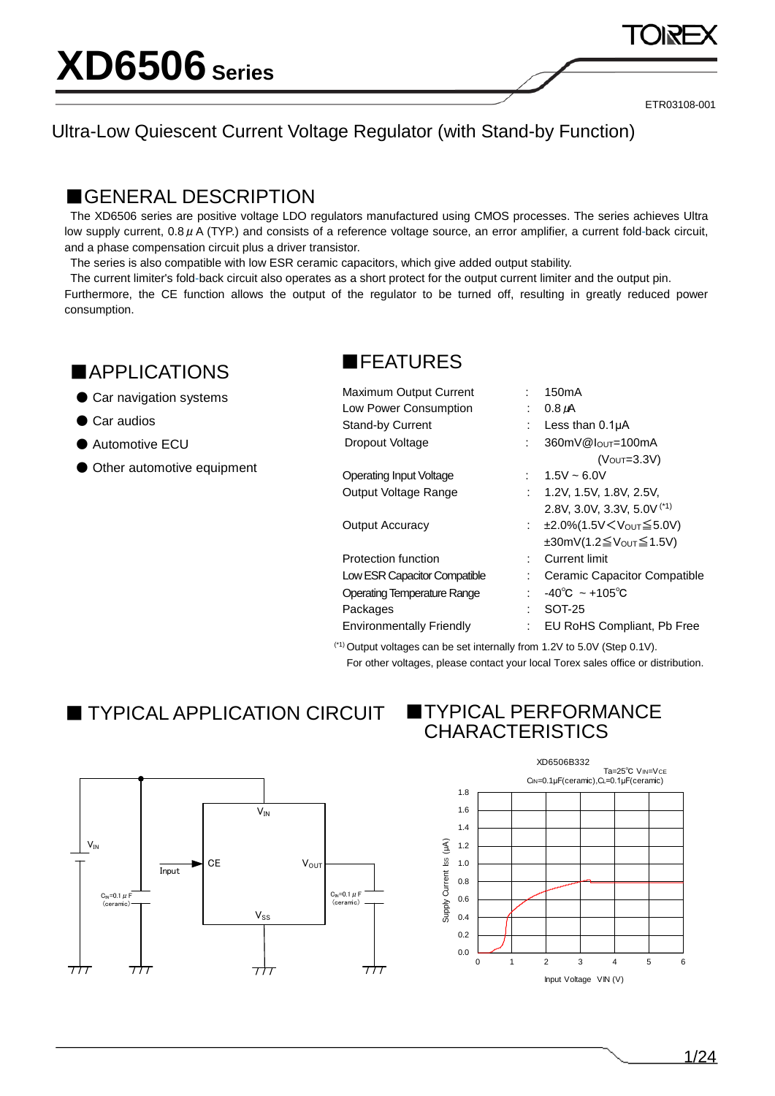### Ultra-Low Quiescent Current Voltage Regulator (with Stand-by Function)

### ■GENERAL DESCRIPTION

The XD6506 series are positive voltage LDO regulators manufactured using CMOS processes. The series achieves Ultra low supply current,  $0.8 \mu$  A (TYP.) and consists of a reference voltage source, an error amplifier, a current fold-back circuit, and a phase compensation circuit plus a driver transistor.

The series is also compatible with low ESR ceramic capacitors, which give added output stability.

The current limiter's fold-back circuit also operates as a short protect for the output current limiter and the output pin. Furthermore, the CE function allows the output of the regulator to be turned off, resulting in greatly reduced power consumption.

## ■APPLICATIONS

● Car navigation systems

● Car audios

 $C_{\text{IN}}=0.1 \ \mu \text{F}$ (ceramic)

 $717$ 

Input

 $V_{IN}$ 

 $711$ 

- Automotive ECU
- Other automotive equipment

### ■FEATURES

| Maximum Output Current             |      | 150 <sub>m</sub> A                                   |
|------------------------------------|------|------------------------------------------------------|
| Low Power Consumption              |      | $0.8 \mu A$                                          |
| <b>Stand-by Current</b>            |      | Less than $0.1\mu A$                                 |
| Dropout Voltage                    |      | 360mV@lout=100mA                                     |
|                                    |      | $(VOUT=3.3V)$                                        |
| <b>Operating Input Voltage</b>     |      | $1.5V \approx 6.0V$                                  |
| Output Voltage Range               |      | : 1.2V, 1.5V, 1.8V, 2.5V,                            |
|                                    |      | 2.8V, 3.0V, 3.3V, 5.0V $(1)$                         |
| <b>Output Accuracy</b>             | t in | ±2.0%(1.5V < V <sub>OUT</sub> ≤ 5.0V)                |
|                                    |      | $\pm 30$ mV(1.2 $\leq$ V <sub>OUT</sub> $\leq$ 1.5V) |
| Protection function                | t.   | <b>Current limit</b>                                 |
| Low ESR Capacitor Compatible       |      | Ceramic Capacitor Compatible                         |
| <b>Operating Temperature Range</b> | ÷.   | $-40^{\circ}$ C ~ +105 $^{\circ}$ C                  |
| Packages                           | t    | SOT-25                                               |
| <b>Environmentally Friendly</b>    | ÷    | EU RoHS Compliant, Pb Free                           |
|                                    |      |                                                      |

(\*1) Output voltages can be set internally from 1.2V to 5.0V (Step 0.1V). For other voltages, please contact your local Torex sales office or distribution.

## ■ TYPICAL APPLICATION CIRCUIT ■ TYPICAL PERFORMANCE

 $V<sub>ss</sub>$ 

 $711$ 

 $CE$   $V_{OUT}$ 



 $C_{\text{in}}=0.1$   $\mu$  F (ceramic)

 $717$ 

# CHARACTERISTICS

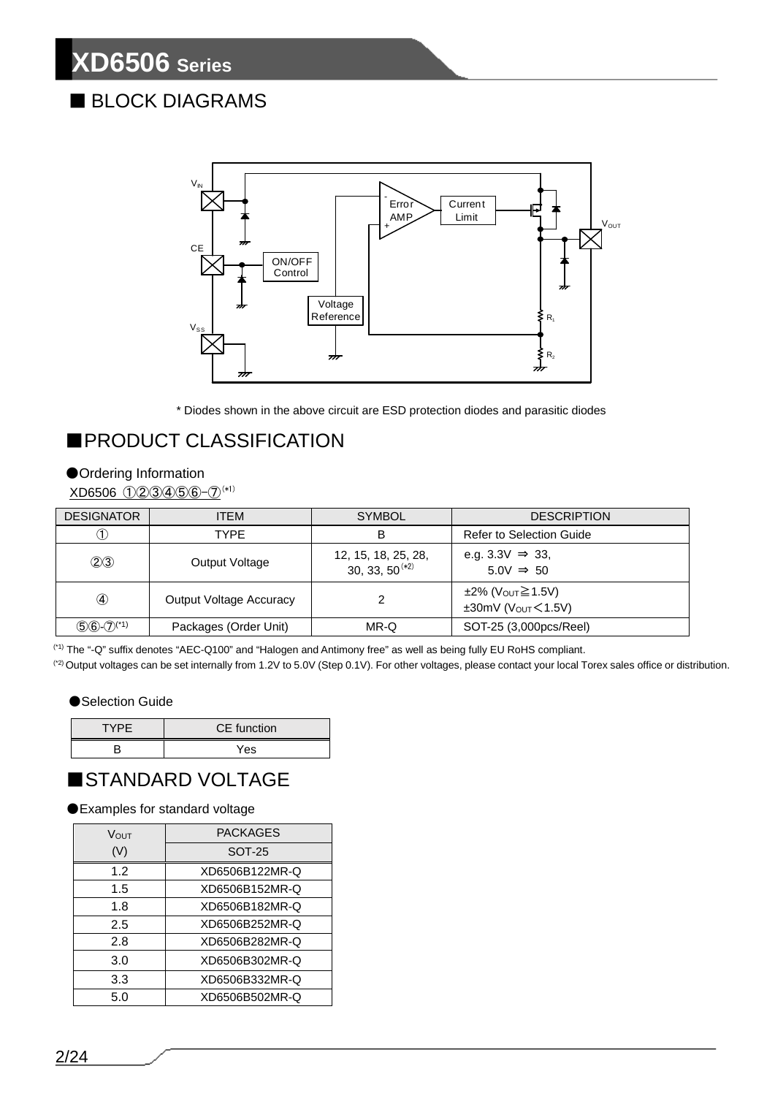## ■ BLOCK DIAGRAMS



\* Diodes shown in the above circuit are ESD protection diodes and parasitic diodes

## ■PRODUCT CLASSIFICATION

#### ●Ordering Information

XD6506 ①②③④⑤⑥-⑦(\*1)

| <b>DESIGNATOR</b>          | ITEM                           | <b>SYMBOL</b>                              | <b>DESCRIPTION</b>                                             |
|----------------------------|--------------------------------|--------------------------------------------|----------------------------------------------------------------|
|                            | <b>TYPE</b><br>В               |                                            | Refer to Selection Guide                                       |
| (2)3                       | Output Voltage                 | 12, 15, 18, 25, 28,<br>30, 33, $50^{(*2)}$ | e.g. 3.3V $\Rightarrow$ 33,<br>$5.0V \Rightarrow 50$           |
| ④                          | <b>Output Voltage Accuracy</b> | າ                                          | ±2% (Vout≧1.5V)<br>$\pm 30$ mV (V <sub>OUT</sub> $\leq 1.5$ V) |
| $(5)6-(7)$ <sup>(*1)</sup> | Packages (Order Unit)          | MR-Q                                       | SOT-25 (3,000pcs/Reel)                                         |

(\*1) The "-Q" suffix denotes "AEC-Q100" and "Halogen and Antimony free" as well as being fully EU RoHS compliant.

(\*2) Output voltages can be set internally from 1.2V to 5.0V (Step 0.1V). For other voltages, please contact your local Torex sales office or distribution.

#### ●Selection Guide

| <b>TYPE</b> | CE function |
|-------------|-------------|
|             | Yes         |

### ■STANDARD VOLTAGE

●Examples for standard voltage

| VOUT | PACKAGES       |
|------|----------------|
| (V)  | <b>SOT-25</b>  |
| 1.2  | XD6506B122MR-Q |
| 1.5  | XD6506B152MR-Q |
| 1.8  | XD6506B182MR-Q |
| 2.5  | XD6506B252MR-Q |
| 2.8  | XD6506B282MR-Q |
| 3.0  | XD6506B302MR-Q |
| 3.3  | XD6506B332MR-Q |
| 5.0  | XD6506B502MR-Q |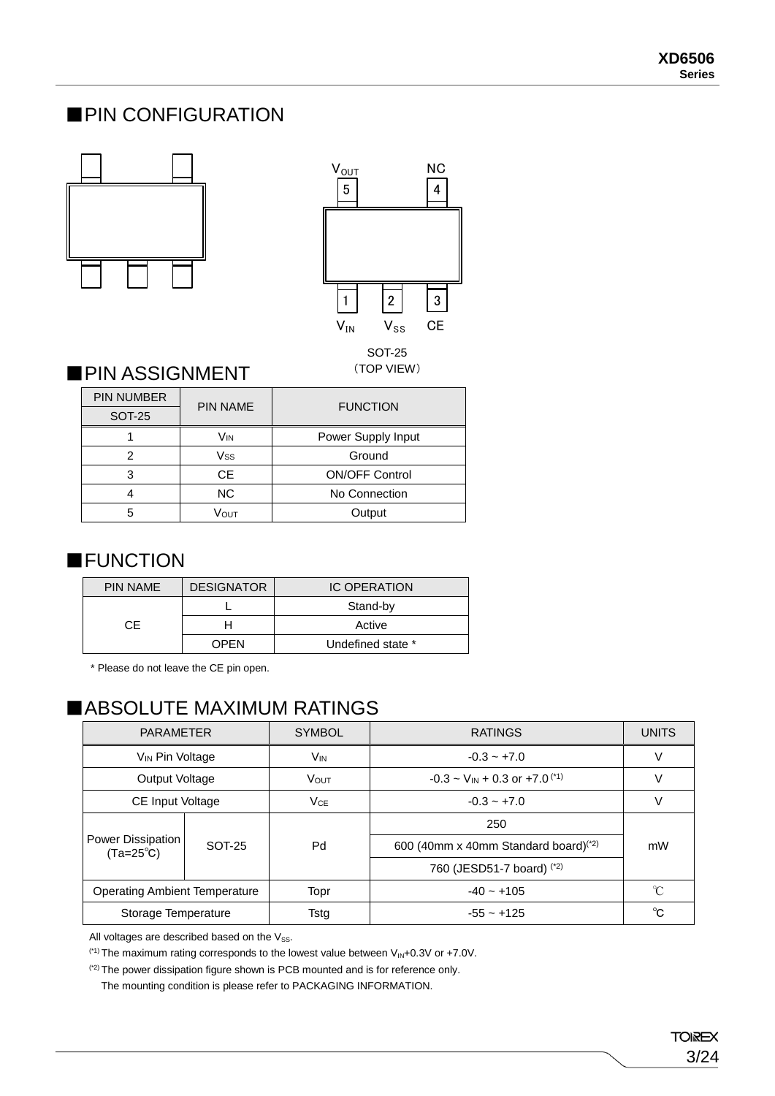### ■PIN CONFIGURATION





### **PIN ASSIGNMENT** (TOP VIEW)

| <b>PIN NUMBER</b> | <b>PIN NAME</b> | <b>FUNCTION</b>       |  |
|-------------------|-----------------|-----------------------|--|
| <b>SOT-25</b>     |                 |                       |  |
|                   | Vın             | Power Supply Input    |  |
| 2                 | Vss             | Ground                |  |
| 3                 | <b>CE</b>       | <b>ON/OFF Control</b> |  |
|                   | NC.             | No Connection         |  |
| 5                 | Vоuт            | Output                |  |

### ■**FUNCTION**

| <b>PIN NAME</b> | <b>DESIGNATOR</b> | <b>IC OPERATION</b> |  |
|-----------------|-------------------|---------------------|--|
|                 |                   | Stand-by            |  |
| CF.             |                   | Active              |  |
|                 | OPEN              | Undefined state *   |  |

\* Please do not leave the CE pin open.

## ■ABSOLUTE MAXIMUM RATINGS

|                                                | <b>PARAMETER</b><br><b>SYMBOL</b> |             | <b>RATINGS</b>                                                | <b>UNITS</b>  |
|------------------------------------------------|-----------------------------------|-------------|---------------------------------------------------------------|---------------|
| V <sub>IN</sub> Pin Voltage                    |                                   | Vin         | $-0.3 - +7.0$                                                 | V             |
| Output Voltage                                 |                                   | <b>VOUT</b> | $-0.3 \sim V_{IN} + 0.3$ or $+7.0^{(1)}$                      | V             |
|                                                | <b>CE Input Voltage</b>           |             | $-0.3 - +7.0$                                                 | V             |
|                                                | SOT-25                            | Pd          | 250                                                           |               |
| <b>Power Dissipation</b><br>$(Ta=25^{\circ}C)$ |                                   |             | 600 (40mm x 40mm Standard board) <sup>(<math>*2</math>)</sup> | mW            |
|                                                |                                   |             | 760 (JESD51-7 board) (*2)                                     |               |
| <b>Operating Ambient Temperature</b>           |                                   | Topr        | $-40 - +105$                                                  | $\mathcal{C}$ |
| Storage Temperature                            |                                   | Tstg        | $-55 - +125$                                                  | °C            |

All voltages are described based on the  $V_{SS}$ .

<sup>(\*1)</sup> The maximum rating corresponds to the lowest value between  $V_{\text{IN}}+0.3V$  or +7.0V.

(\*2) The power dissipation figure shown is PCB mounted and is for reference only.

The mounting condition is please refer to PACKAGING INFORMATION.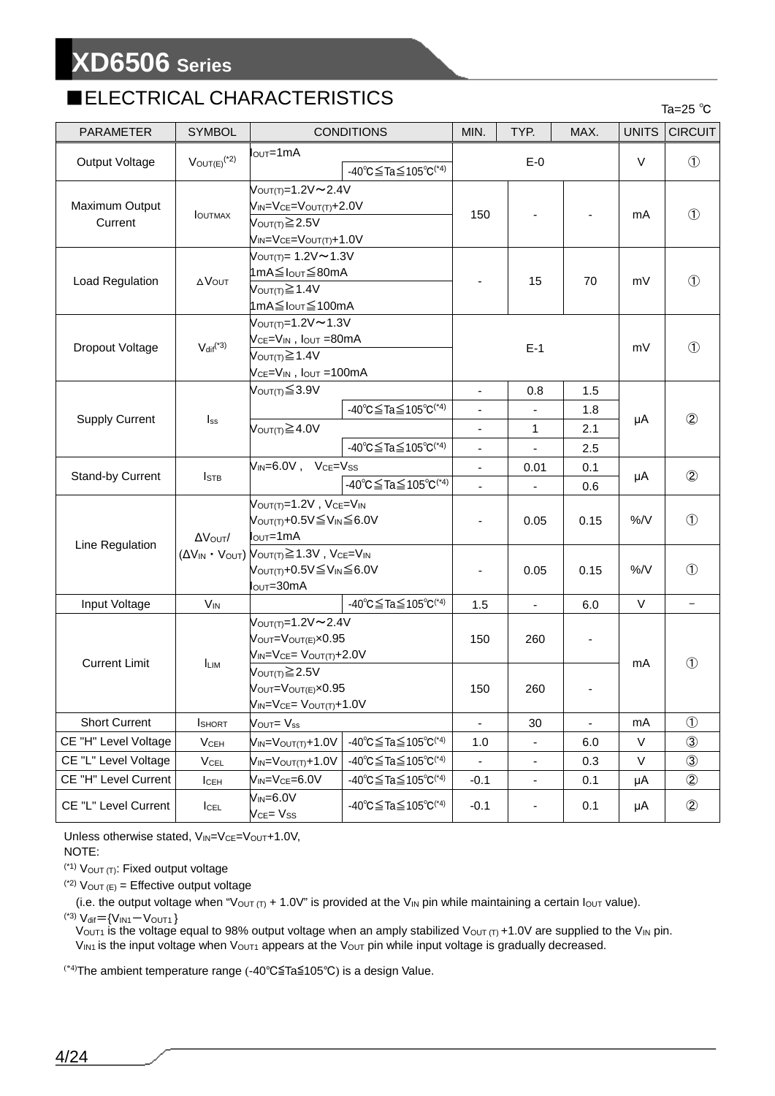## ■ELECTRICAL CHARACTERISTICS Ta=25 ℃

| <b>PARAMETER</b>          | <b>SYMBOL</b>                |                                                                                                                                                                         | <b>CONDITIONS</b>                                          | MIN.                     | TYP.           | MAX. | <b>UNITS</b> | <b>CIRCUIT</b>           |
|---------------------------|------------------------------|-------------------------------------------------------------------------------------------------------------------------------------------------------------------------|------------------------------------------------------------|--------------------------|----------------|------|--------------|--------------------------|
| Output Voltage            | $V_{OUT(E)}$ <sup>(*2)</sup> | $IOUT=1mA$<br>$-40^{\circ}$ C $\leq$ Ta $\leq$ 105 $^{\circ}$ C <sup>(*4)</sup>                                                                                         |                                                            | $E-0$                    |                |      | $\vee$       | $\circled{1}$            |
| Maximum Output<br>Current | <b>IOUTMAX</b>               | $V_{\text{OUT(T)}} = 1.2 \text{V} \sim 2.4 \text{V}$<br>$V_{IN} = V_{CE} = V_{OUT(T)} + 2.0V$<br>$V_{\text{OUT(T)}}{\geq}2.5V$<br>$V_{IN} = V_{CE} = V_{OUT(T)} + 1.0V$ |                                                            | 150                      |                |      | mA           | $\circled{1}$            |
| Load Regulation           | $\Delta V$ OUT               | $V_{\text{OUT(T)}} = 1.2 \text{V} \sim 1.3 \text{V}$<br>1mA≦Iout≦80mA<br>VOUT(T) $\geq 1.4V$<br>1mA≦I <sub>OUT</sub> ≤100mA                                             |                                                            |                          | 15             | 70   | mV           | $\circled{1}$            |
| Dropout Voltage           | $V_{dif}^{(4)}$              | $V_{\text{OUT(T)}} = 1.2V \sim 1.3V$<br>VcE=VIN, Iout =80mA<br>V <sub>OUT(T)</sub> ≥ 1.4V<br>$Vce=V_{IN}$ , $I_{OUT} = 100mA$                                           |                                                            |                          | $E-1$          |      | mV           | $\circled{1}$            |
|                           |                              | Vout(T)≦3.9V                                                                                                                                                            |                                                            | $\blacksquare$           | 0.8            | 1.5  |              |                          |
| <b>Supply Current</b>     | $I_{ss}$                     |                                                                                                                                                                         | $-40^{\circ}$ C $\leq$ Ta $\leq$ 105 $^{\circ}$ C $^{(*)}$ |                          |                | 1.8  | μA           | $\circled{2}$            |
|                           |                              | VOUT(T) $\geq$ 4.0V                                                                                                                                                     |                                                            | -                        | $\mathbf{1}$   | 2.1  |              |                          |
|                           |                              |                                                                                                                                                                         | -40°C $\leq$ Ta $\leq$ 105°C <sup>(*4)</sup>               | $\overline{\phantom{a}}$ | $\blacksquare$ | 2.5  |              |                          |
| Stand-by Current          | <b>I</b> STB                 | $V_{IN} = 6.0V$ , $V_{CE} = V_{SS}$                                                                                                                                     | -40 °C $\leq$ Ta $\leq$ 105 °C <sup>(*4)</sup>             |                          | 0.01           | 0.1  | μA           | $\circled{2}$            |
|                           |                              |                                                                                                                                                                         |                                                            | $\overline{\phantom{a}}$ | $\blacksquare$ | 0.6  |              |                          |
| Line Regulation           | AVOUT/                       | $V_{\text{OUT}(T)}=1.2V$ , $V_{\text{CE}}=V_{\text{IN}}$<br>V <sub>OUT(T)</sub> +0.5V≦V <sub>IN</sub> ≦6.0V<br>lout=1mA                                                 |                                                            | ä,                       | 0.05           | 0.15 | %/V          | $\circled{1}$            |
|                           |                              | $(\Delta V_{IN} \cdot V_{OUT})$ $V_{OUT(T)} \ge 1.3V$ , $V_{CE} = V_{IN}$<br>V <sub>OUT(T)</sub> +0.5V≦V <sub>IN</sub> ≦6.0V<br>lout=30mA                               |                                                            | -                        | 0.05           | 0.15 | %/V          | $\circled{1}$            |
| Input Voltage             | <b>V<sub>IN</sub></b>        |                                                                                                                                                                         | -40°C≦Ta≦105°C <sup>(*4)</sup>                             | 1.5                      | $\mathbf{r}$   | 6.0  | V            | $\overline{\phantom{0}}$ |
| <b>Current Limit</b>      | <b>LIM</b>                   | $V_{\text{OUT(T)}} = 1.2V - 2.4V$<br>VOUT=VOUT(E)×0.95<br>$V_{IN} = V_{CE} = V_{OUT(T)} + 2.0V$                                                                         |                                                            | 150                      | 260            |      | mA           | $\circled{1}$            |
|                           |                              | $V_{\text{OUT(T)}} \geq 2.5V$<br>VOUT=VOUT(E)×0.95<br>$V_{IN} = V_{CE} = V_{OUT(T)} + 1.0V$                                                                             |                                                            | 150                      | 260            |      |              |                          |
| <b>Short Current</b>      | <b>I</b> SHORT               | $V_{\text{OUT}} = V_{ss}$                                                                                                                                               |                                                            |                          | 30             |      | mA           | $\circled{1}$            |
| CE "H" Level Voltage      | <b>V<sub>CEH</sub></b>       | $V_{IN} = V_{OUT(T)} + 1.0V$                                                                                                                                            | $-40^{\circ}$ C $\leq$ Ta $\leq$ 105 $^{\circ}$ C $^{(*)}$ | 1.0                      | ۰              | 6.0  | V            | $\circled{3}$            |
| CE "L" Level Voltage      | <b>V<sub>CEL</sub></b>       | $V_{IN} = V_{OUT(T)} + 1.0V$                                                                                                                                            | $-40^{\circ}$ C $\leq$ Ta $\leq$ 105 $^{\circ}$ C $^{(*)}$ |                          |                | 0.3  | V            | $\circled{3}$            |
| CE "H" Level Current      | $I_{CEH}$                    | $V_{IN} = V_{CE} = 6.0V$                                                                                                                                                | $-40^{\circ}$ C $\leq$ Ta $\leq$ 105 $^{\circ}$ C $^{(*)}$ | $-0.1$                   | $\blacksquare$ | 0.1  | μA           | $^{\circledR}$           |
| CE "L" Level Current      | $I_{\text{CEL}}$             | $V_{IN} = 6.0V$<br>V <sub>CE</sub> = V <sub>SS</sub>                                                                                                                    | $-40^{\circ}$ C $\leq$ Ta $\leq$ 105 $^{\circ}$ C $^{(*)}$ | $-0.1$                   | ۰.             | 0.1  | μA           | $^{\circledR}$           |

Unless otherwise stated, VIN=VCE=VOUT+1.0V,

#### NOTE:

 $(1)$  V<sub>OUT (T)</sub>: Fixed output voltage

 $(2)$   $V_{\text{OUT (E)}} =$  Effective output voltage

(i.e. the output voltage when "V<sub>OUT (T)</sub> + 1.0V" is provided at the V<sub>IN</sub> pin while maintaining a certain  $I_{\text{OUT}}$  value).

 $(14)$  V<sub>dif</sub>={V<sub>IN1</sub>-V<sub>OUT1</sub>}

V<sub>OUT1</sub> is the voltage equal to 98% output voltage when an amply stabilized V<sub>OUT (T)</sub> +1.0V are supplied to the V<sub>IN</sub> pin.  $V_{IN1}$  is the input voltage when  $V_{OUT1}$  appears at the  $V_{OUT}$  pin while input voltage is gradually decreased.

(\*4) The ambient temperature range (-40℃≦Ta≦105℃) is a design Value.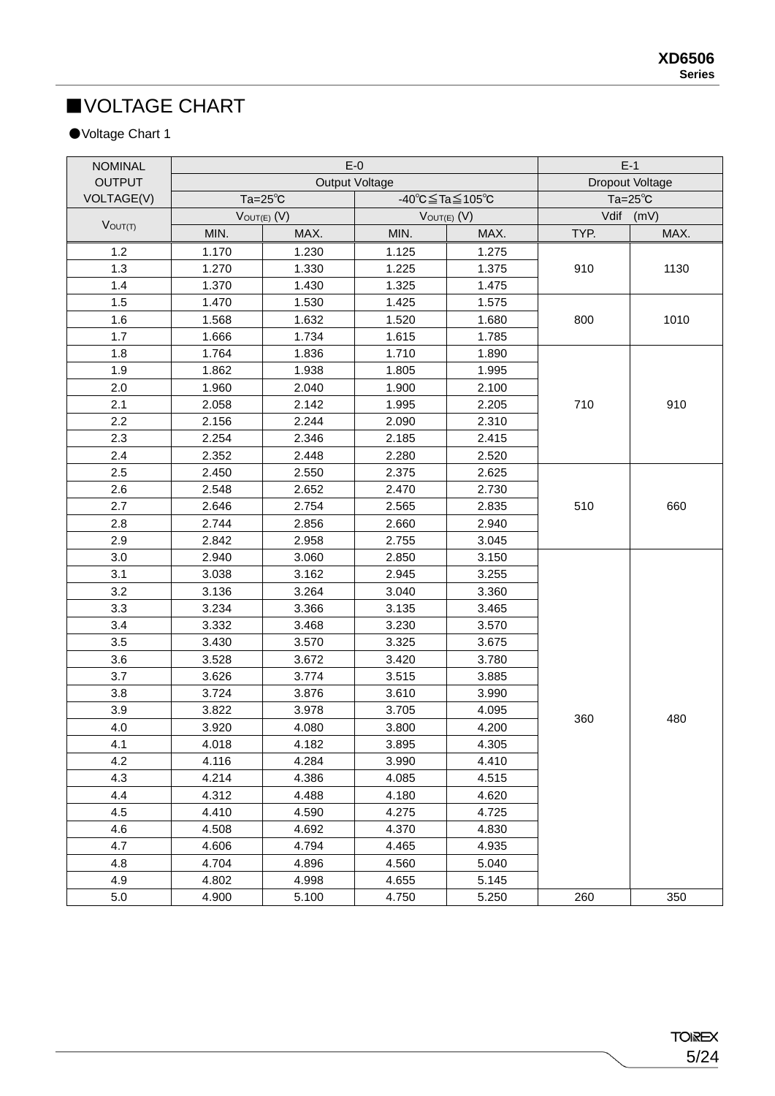## ■VOLTAGE CHART

### ●Voltage Chart 1

| <b>NOMINAL</b> |                  | $E-0$                 | $E-1$           |                  |                    |      |
|----------------|------------------|-----------------------|-----------------|------------------|--------------------|------|
| <b>OUTPUT</b>  |                  | <b>Output Voltage</b> | Dropout Voltage |                  |                    |      |
| VOLTAGE(V)     | $Ta=25^\circ C$  |                       | -40°C≦Ta≦105°C  |                  | $Ta = 25^{\circ}C$ |      |
|                | $V$ OUT(E) $(V)$ |                       |                 | $V$ OUT(E) $(V)$ | Vdif (mV)          |      |
| $V_{OUT(T)}$   | MIN.             | MAX.                  | MIN.            | MAX.             | TYP.               | MAX. |
| 1.2            | 1.170            | 1.230                 | 1.125           | 1.275            |                    |      |
| 1.3            | 1.270            | 1.330                 | 1.225           | 1.375            | 910                | 1130 |
| 1.4            | 1.370            | 1.430                 | 1.325           | 1.475            |                    |      |
| 1.5            | 1.470            | 1.530                 | 1.425           | 1.575            |                    |      |
| 1.6            | 1.568            | 1.632                 | 1.520           | 1.680            | 800                | 1010 |
| 1.7            | 1.666            | 1.734                 | 1.615           | 1.785            |                    |      |
| 1.8            | 1.764            | 1.836                 | 1.710           | 1.890            |                    |      |
| 1.9            | 1.862            | 1.938                 | 1.805           | 1.995            |                    |      |
| 2.0            | 1.960            | 2.040                 | 1.900           | 2.100            |                    |      |
| 2.1            | 2.058            | 2.142                 | 1.995           | 2.205            | 710                | 910  |
| 2.2            | 2.156            | 2.244                 | 2.090           | 2.310            |                    |      |
| 2.3            | 2.254            | 2.346                 | 2.185           | 2.415            |                    |      |
| 2.4            | 2.352            | 2.448                 | 2.280           | 2.520            |                    |      |
| 2.5            | 2.450            | 2.550                 | 2.375           | 2.625            |                    | 660  |
| 2.6            | 2.548            | 2.652                 | 2.470           | 2.730            | 510                |      |
| 2.7            | 2.646            | 2.754                 | 2.565           | 2.835            |                    |      |
| 2.8            | 2.744            | 2.856                 | 2.660           | 2.940            |                    |      |
| 2.9            | 2.842            | 2.958                 | 2.755           | 3.045            |                    |      |
| 3.0            | 2.940            | 3.060                 | 2.850           | 3.150            |                    |      |
| 3.1            | 3.038            | 3.162                 | 2.945           | 3.255            |                    |      |
| 3.2            | 3.136            | 3.264                 | 3.040           | 3.360            |                    |      |
| 3.3            | 3.234            | 3.366                 | 3.135           | 3.465            |                    |      |
| 3.4            | 3.332            | 3.468                 | 3.230           | 3.570            |                    |      |
| 3.5            | 3.430            | 3.570                 | 3.325           | 3.675            |                    |      |
| 3.6            | 3.528            | 3.672                 | 3.420           | 3.780            |                    |      |
| 3.7            | 3.626            | 3.774                 | 3.515           | 3.885            |                    |      |
| 3.8            | 3.724            | 3.876                 | 3.610           | 3.990            |                    | 480  |
| 3.9            | 3.822            | 3.978                 | 3.705           | 4.095            | 360                |      |
| 4.0            | 3.920            | 4.080                 | 3.800           | 4.200            |                    |      |
| 4.1            | 4.018            | 4.182                 | 3.895           | 4.305            |                    |      |
| 4.2            | 4.116            | 4.284                 | 3.990           | 4.410            |                    |      |
| 4.3            | 4.214            | 4.386                 | 4.085           | 4.515            |                    |      |
| 4.4            | 4.312            | 4.488                 | 4.180           | 4.620            |                    |      |
| 4.5            | 4.410            | 4.590                 | 4.275           | 4.725            |                    |      |
| 4.6            | 4.508            | 4.692                 | 4.370           | 4.830            |                    |      |
| 4.7            | 4.606            | 4.794                 | 4.465           | 4.935            |                    |      |
| 4.8            | 4.704            | 4.896                 | 4.560           | 5.040            |                    |      |
| 4.9            | 4.802            | 4.998                 | 4.655           | 5.145            |                    |      |
| $5.0\,$        | 4.900            | 5.100                 | 4.750           | 5.250            | 260                | 350  |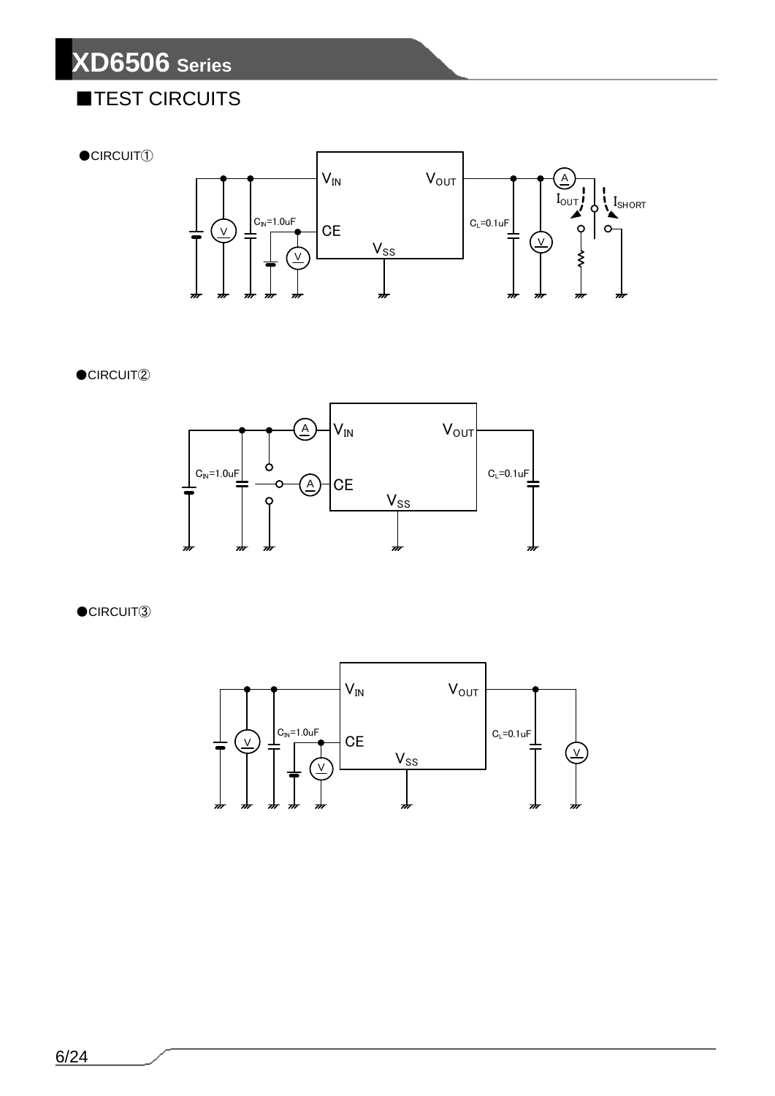## ■TEST CIRCUITS

 $\bullet$ CIRCUIT $\circled$ 



 $\bullet$ CIRCUIT $@$ 



 $\bullet$ CIRCUIT $\circled3$ 

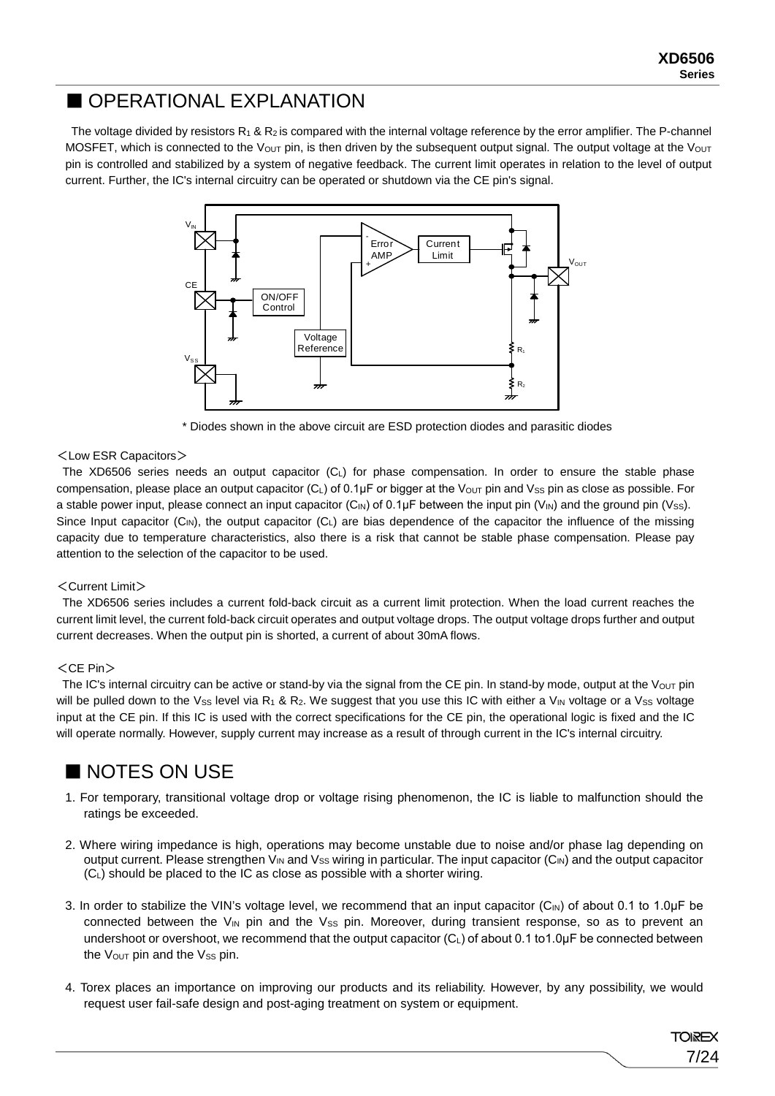7/24

**TOREX** 

### ■ OPERATIONAL EXPLANATION

The voltage divided by resistors  $R_1 \& R_2$  is compared with the internal voltage reference by the error amplifier. The P-channel MOSFET, which is connected to the Vout pin, is then driven by the subsequent output signal. The output voltage at the Vout pin is controlled and stabilized by a system of negative feedback. The current limit operates in relation to the level of output current. Further, the IC's internal circuitry can be operated or shutdown via the CE pin's signal.



\* Diodes shown in the above circuit are ESD protection diodes and parasitic diodes

#### <Low ESR Capacitors>

The XD6506 series needs an output capacitor (C<sub>L</sub>) for phase compensation. In order to ensure the stable phase compensation, please place an output capacitor  $(C_L)$  of 0.1 $\mu$ F or bigger at the V<sub>OUT</sub> pin and Vss pin as close as possible. For a stable power input, please connect an input capacitor (C<sub>IN</sub>) of 0.1μF between the input pin (V<sub>IN</sub>) and the ground pin (Vss). Since Input capacitor  $(C_{N})$ , the output capacitor  $(C_{L})$  are bias dependence of the capacitor the influence of the missing capacity due to temperature characteristics, also there is a risk that cannot be stable phase compensation. Please pay attention to the selection of the capacitor to be used.

#### <Current Limit>

The XD6506 series includes a current fold-back circuit as a current limit protection. When the load current reaches the current limit level, the current fold-back circuit operates and output voltage drops. The output voltage drops further and output current decreases. When the output pin is shorted, a current of about 30mA flows.

#### $<$ CE Pin $>$

The IC's internal circuitry can be active or stand-by via the signal from the CE pin. In stand-by mode, output at the Vout pin will be pulled down to the Vss level via R<sub>1</sub> & R<sub>2</sub>. We suggest that you use this IC with either a V<sub>IN</sub> voltage or a Vss voltage input at the CE pin. If this IC is used with the correct specifications for the CE pin, the operational logic is fixed and the IC will operate normally. However, supply current may increase as a result of through current in the IC's internal circuitry.

## ■ NOTES ON USE

- 1. For temporary, transitional voltage drop or voltage rising phenomenon, the IC is liable to malfunction should the ratings be exceeded.
- 2. Where wiring impedance is high, operations may become unstable due to noise and/or phase lag depending on output current. Please strengthen  $V_{IN}$  and  $V_{SS}$  wiring in particular. The input capacitor ( $C_{IN}$ ) and the output capacitor (CL) should be placed to the IC as close as possible with a shorter wiring.
- 3. In order to stabilize the VIN's voltage level, we recommend that an input capacitor  $(C_{N})$  of about 0.1 to 1.0µF be connected between the  $V_{IN}$  pin and the  $V_{SS}$  pin. Moreover, during transient response, so as to prevent an undershoot or overshoot, we recommend that the output capacitor (C<sub>L</sub>) of about 0.1 to1.0μF be connected between the  $V_{\text{OUT}}$  pin and the  $V_{SS}$  pin.
- 4. Torex places an importance on improving our products and its reliability. However, by any possibility, we would request user fail-safe design and post-aging treatment on system or equipment.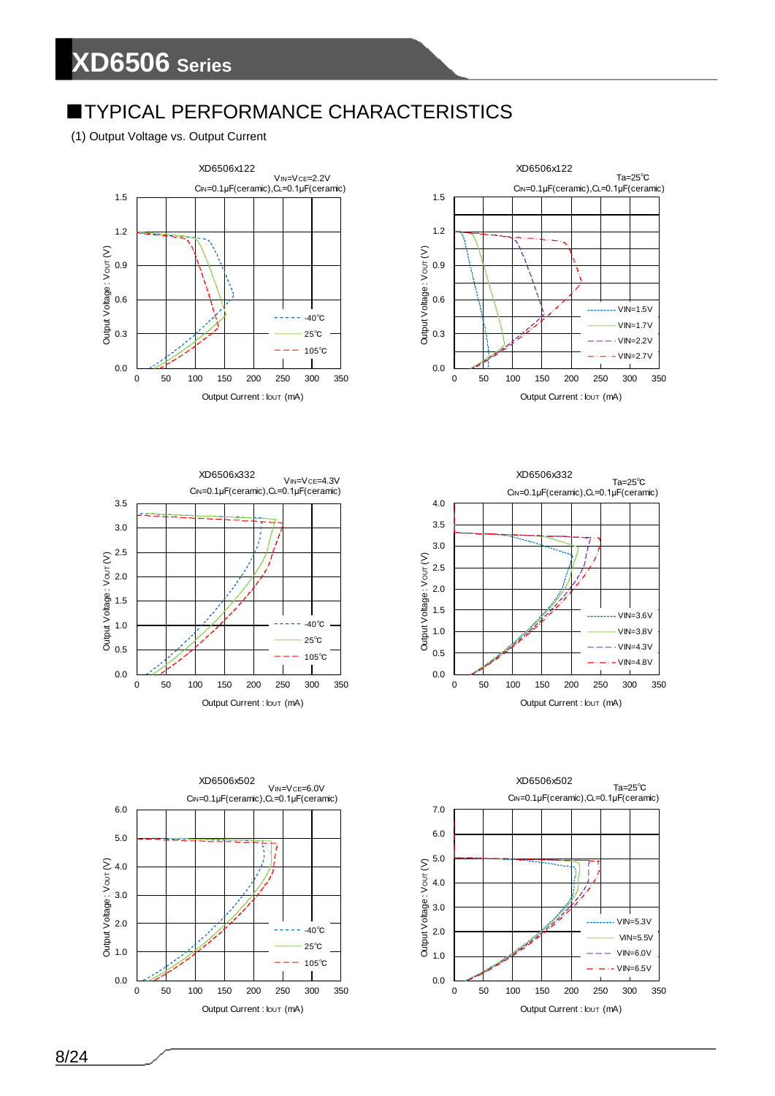## **TYPICAL PERFORMANCE CHARACTERISTICS**

(1) Output Voltage vs. Output Current











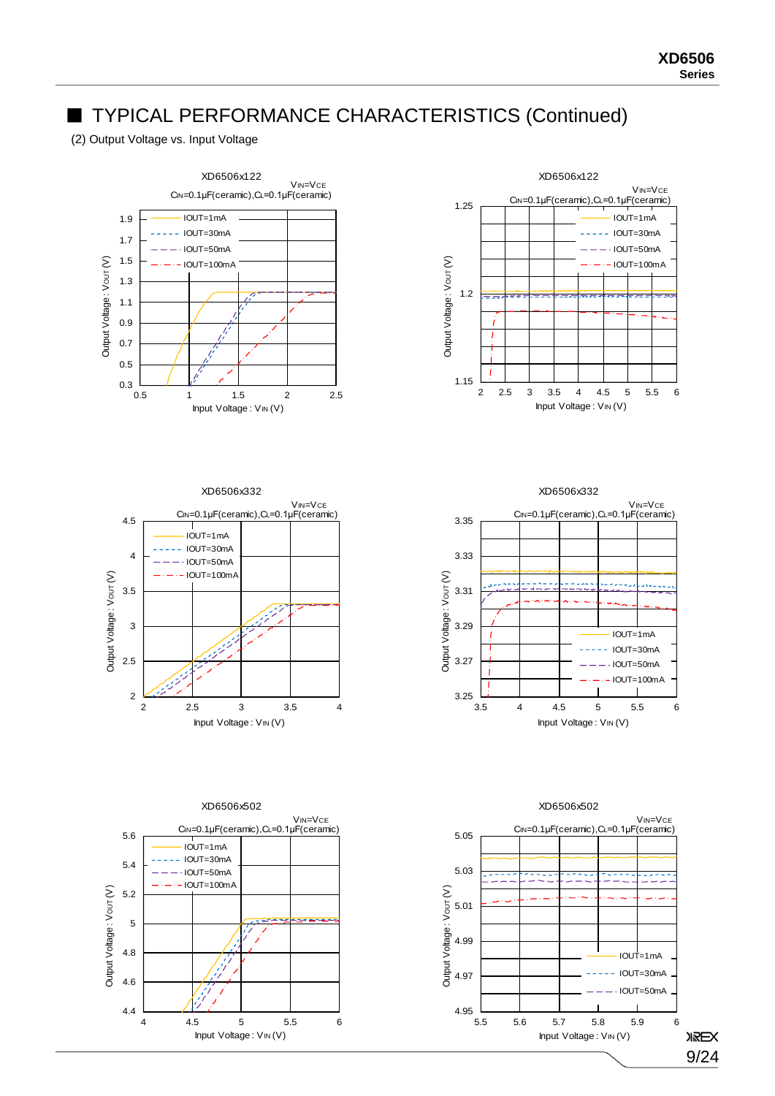(2) Output Voltage vs. Input Voltage











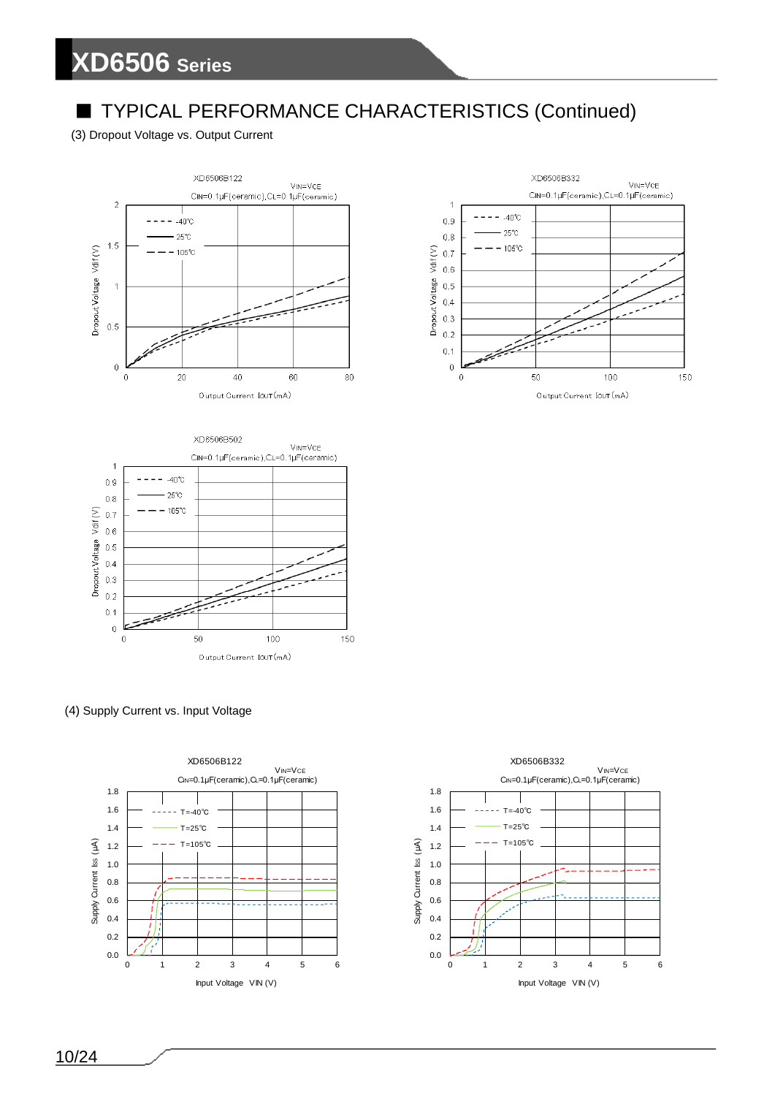## ■ TYPICAL PERFORMANCE CHARACTERISTICS (Continued)

#### (3) Dropout Voltage vs. Output Current







(4) Supply Current vs. Input Voltage



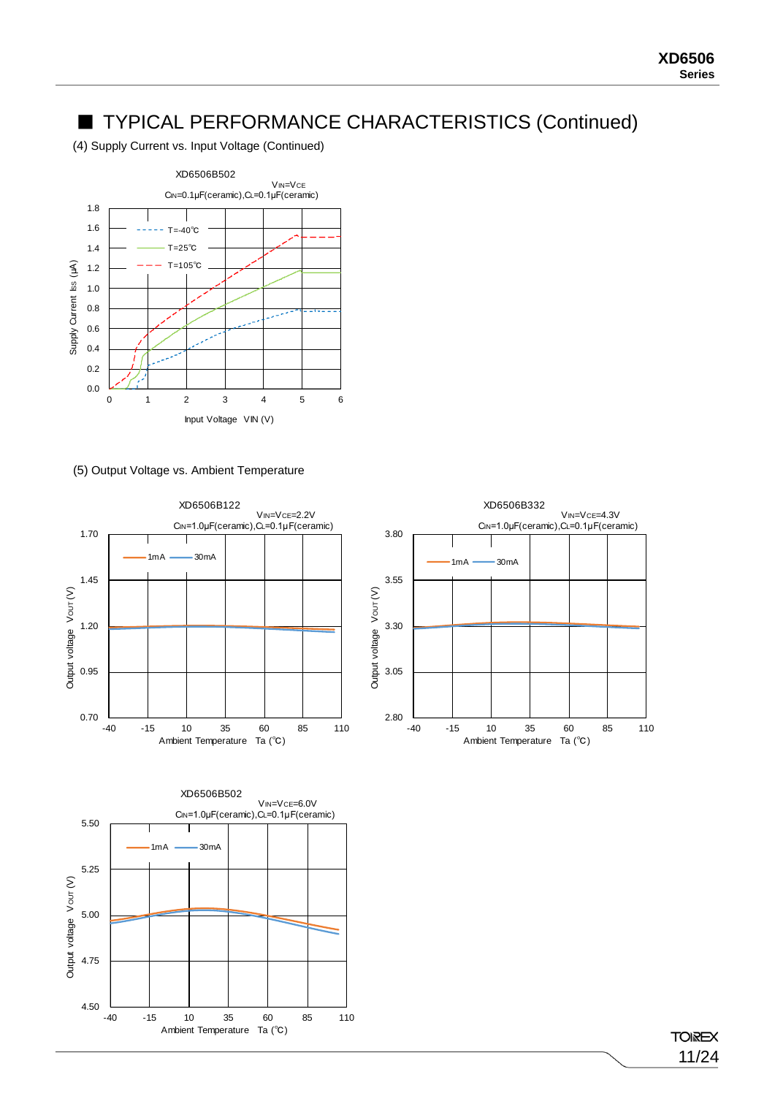(4) Supply Current vs. Input Voltage (Continued)



#### (5) Output Voltage vs. Ambient Temperature







#### **TOIREX** 11/24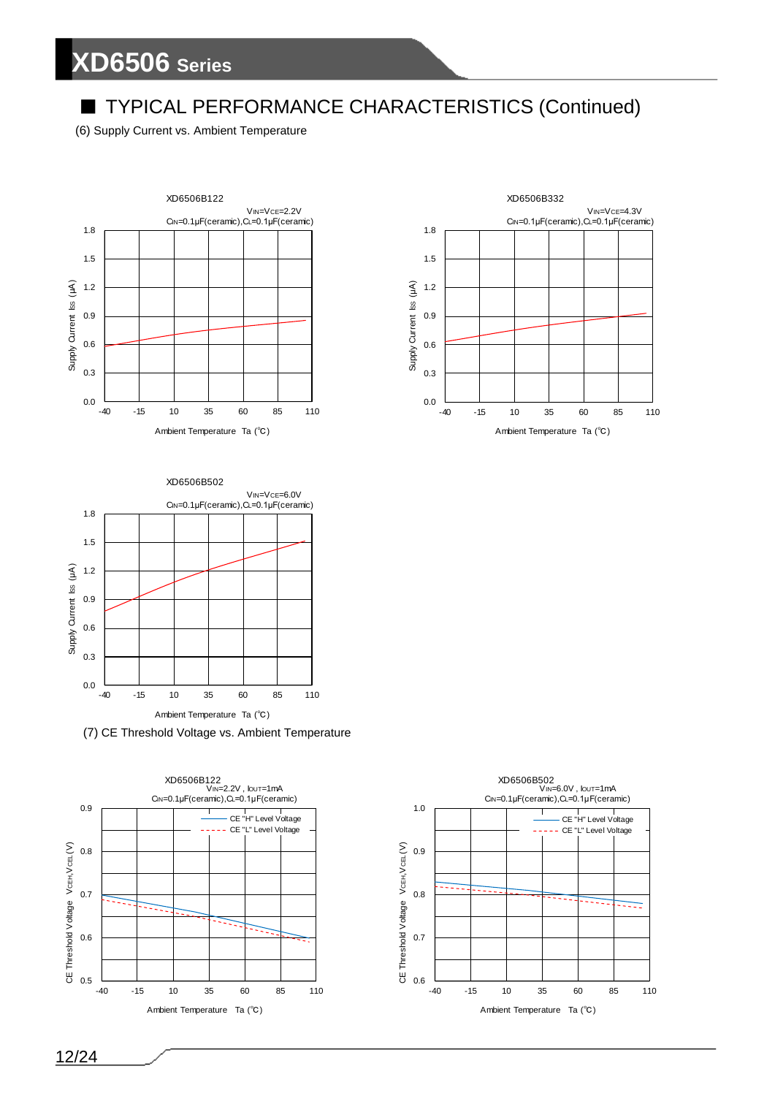## ■ TYPICAL PERFORMANCE CHARACTERISTICS (Continued)

(6) Supply Current vs. Ambient Temperature







(7) CE Threshold Voltage vs. Ambient Temperature



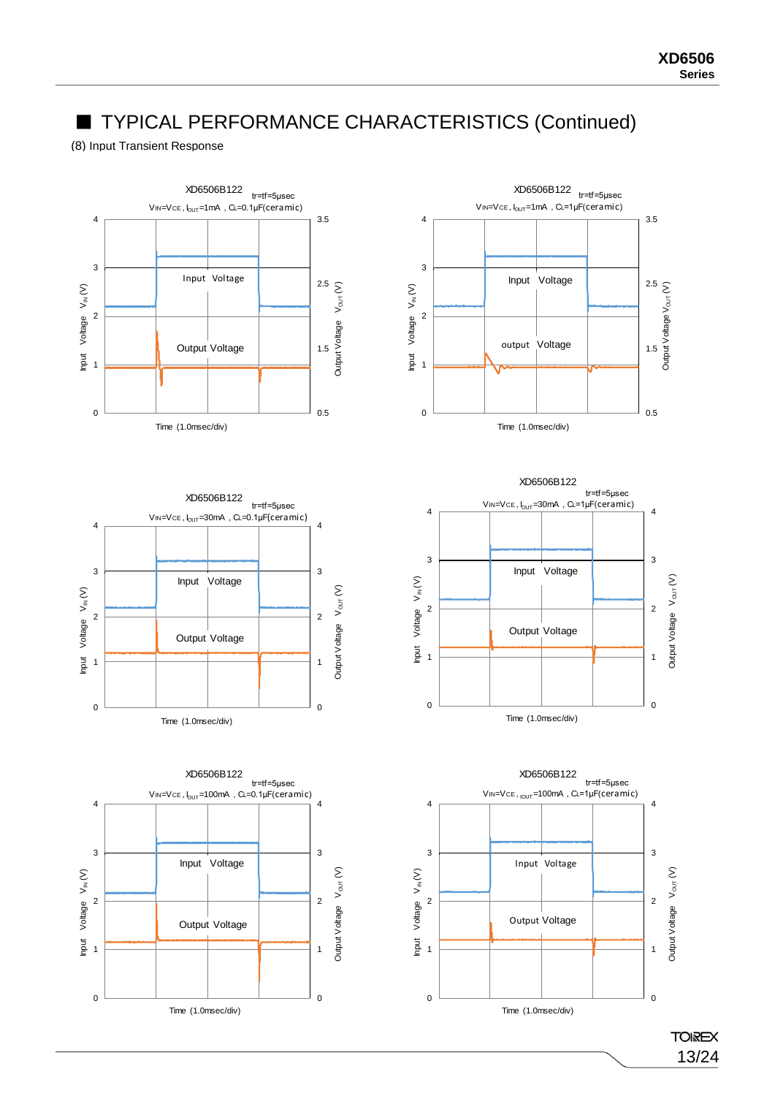#### (8) Input Transient Response











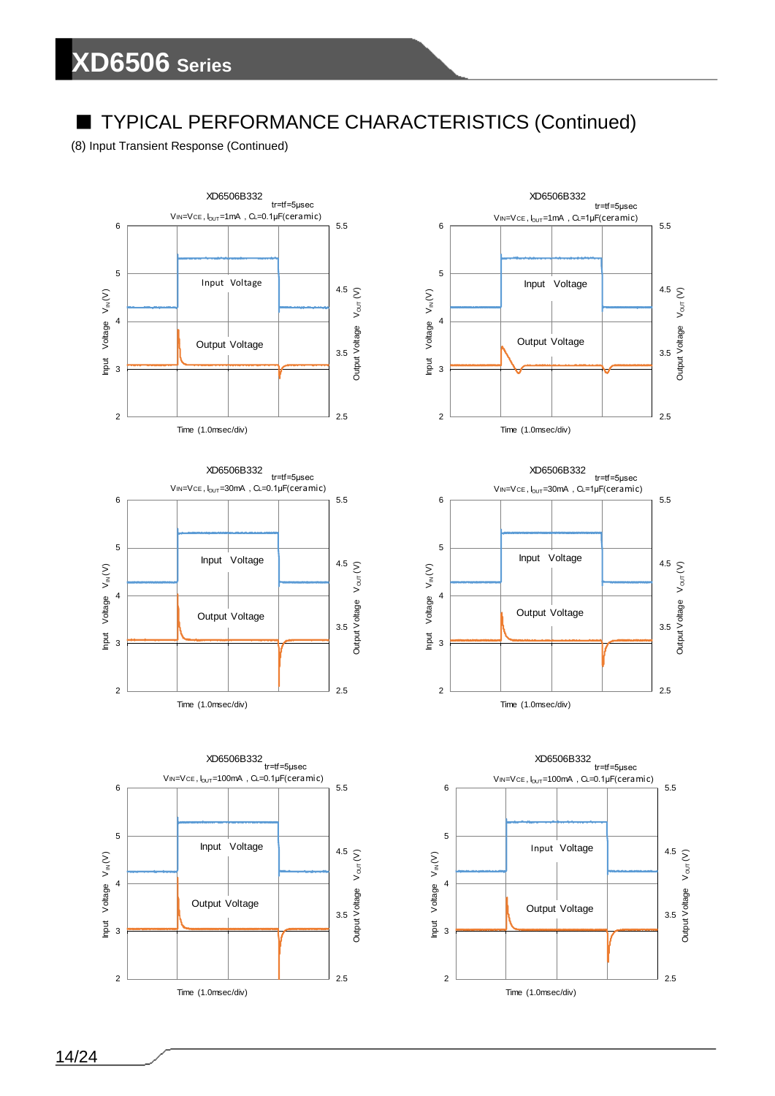## ■ TYPICAL PERFORMANCE CHARACTERISTICS (Continued)

(8) Input Transient Response (Continued)



Time (1.0msec/div)







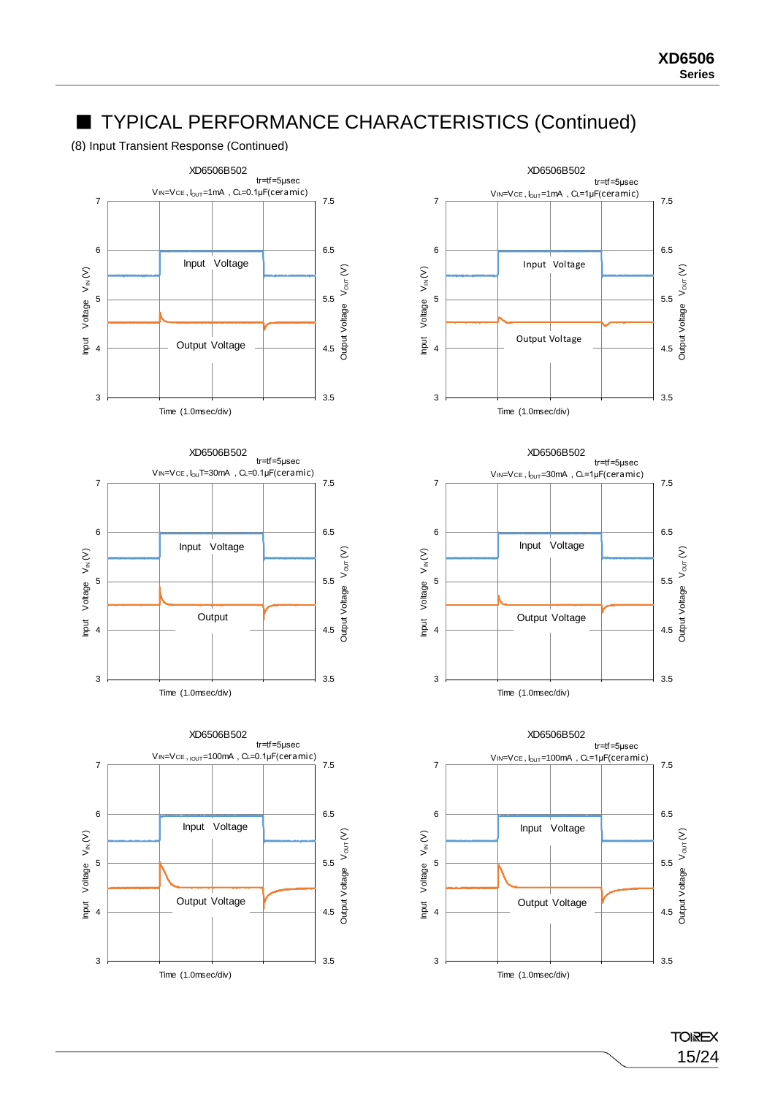(8) Input Transient Response (Continued)









15/24

**TOIREX**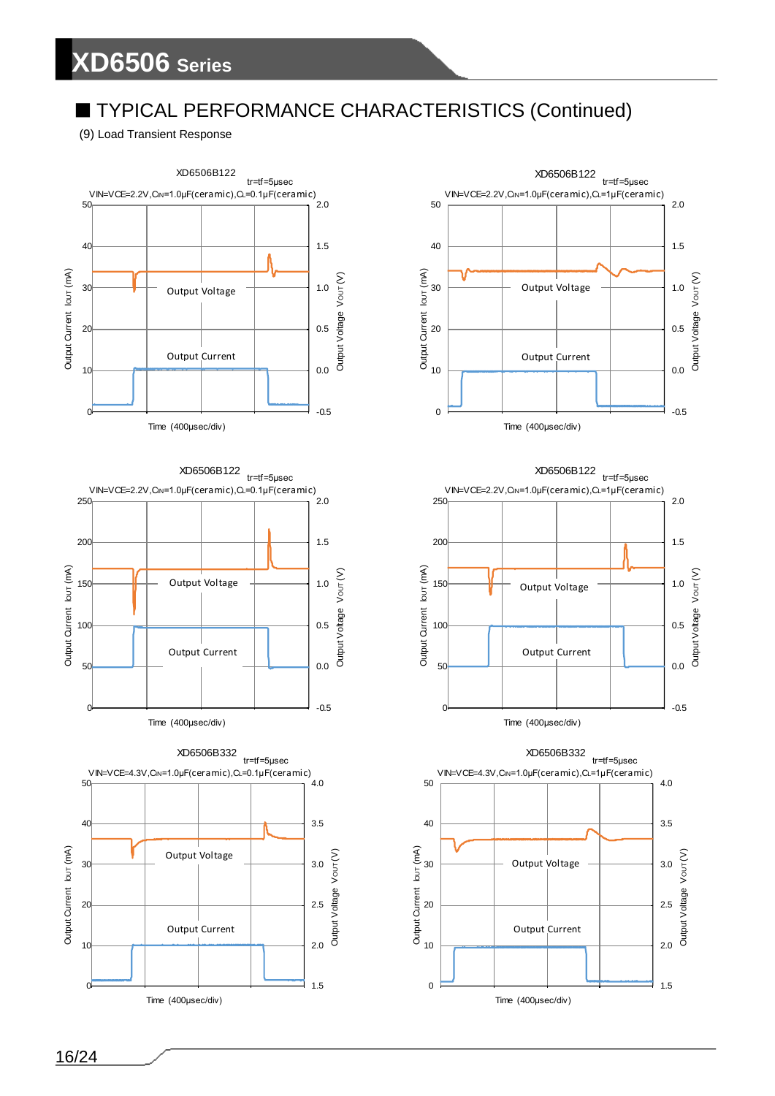## ■ TYPICAL PERFORMANCE CHARACTERISTICS (Continued)

(9) Load Transient Response











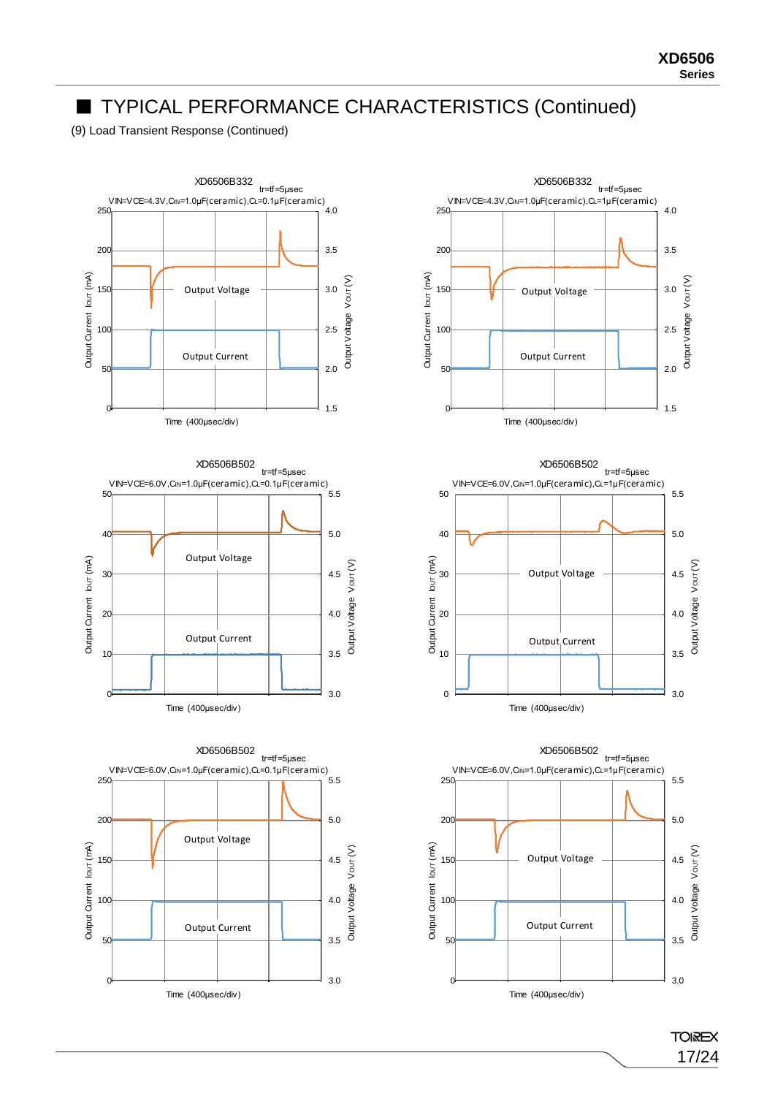(9) Load Transient Response (Continued)



XD6506B332 tr=tf=5μsec VIN=VCE=4.3V,CIN=1.0μF(ceramic),CL=1μF(ceramic) 250 4.0 3.5 200 Output Current lout (mA) Output Current IOUT (mA) Output Voltage Vout (V) Output Voltage VOUT (V) 150 3.0 Output Voltage 100 2.5 Output Current 50 2.0 1.5 0 Time (400μsec/div)





**TOIREX** 17/24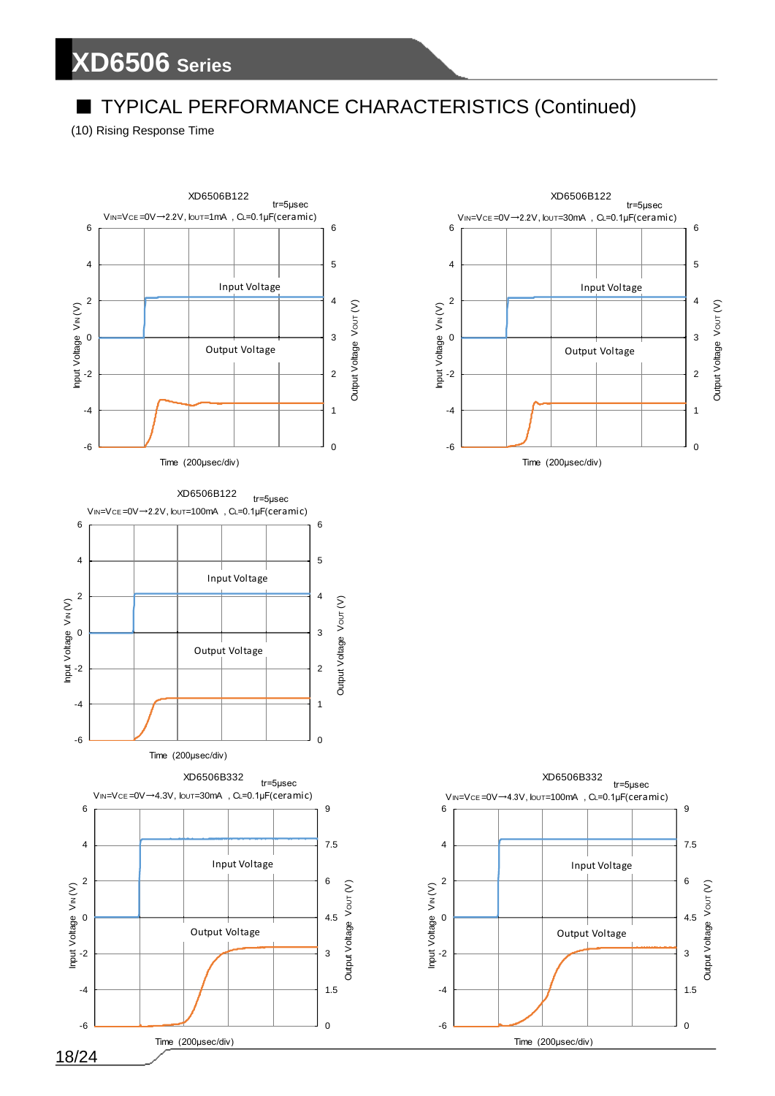## TYPICAL PERFORMANCE CHARACTERISTICS (Continued)

(10) Rising Response Time





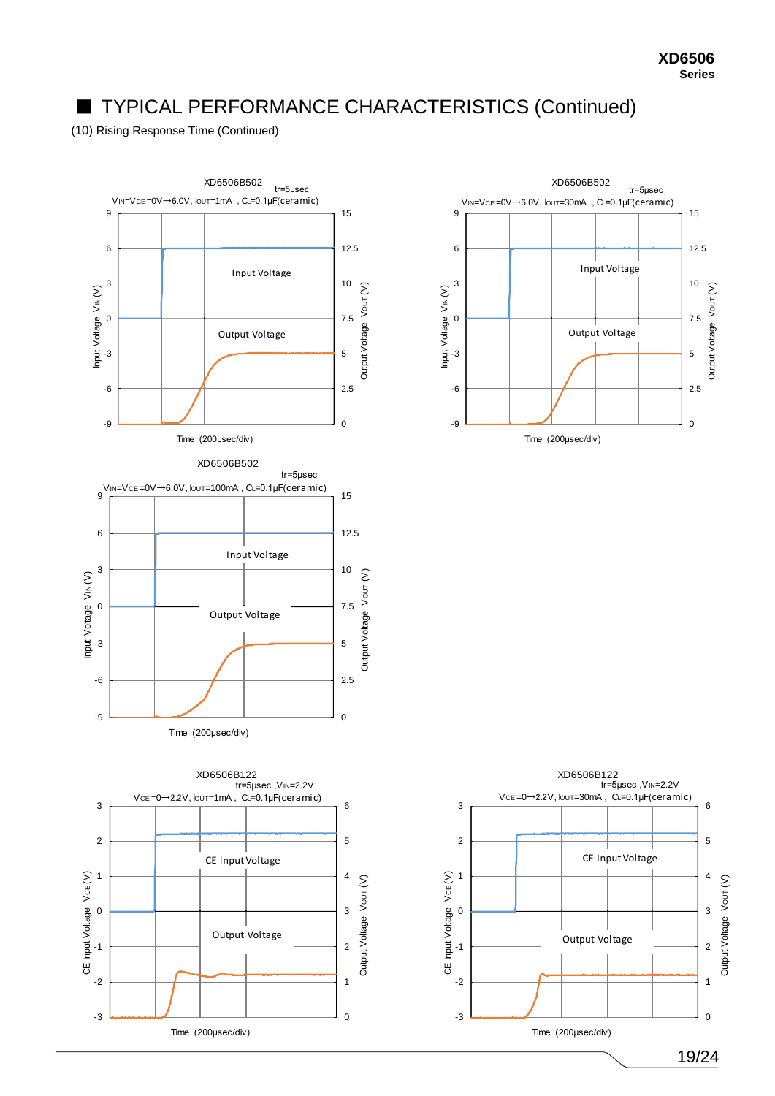(10) Rising Response Time (Continued)





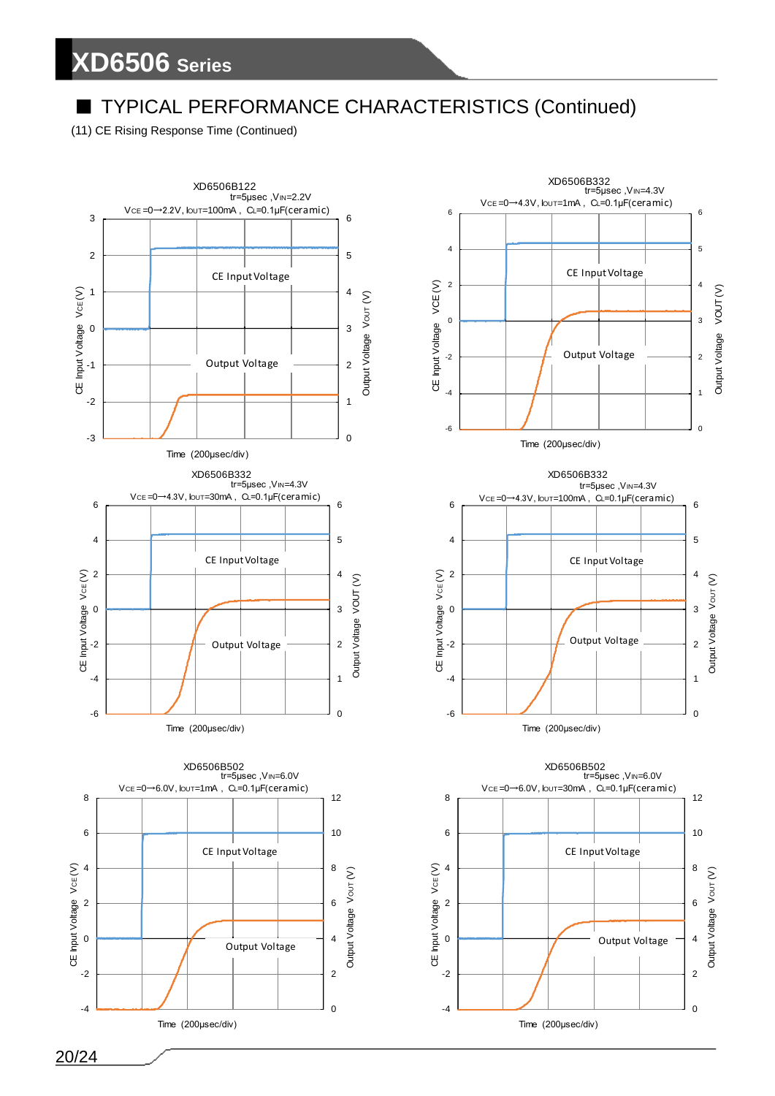## TYPICAL PERFORMANCE CHARACTERISTICS (Continued)

(11) CE Rising Response Time (Continued)



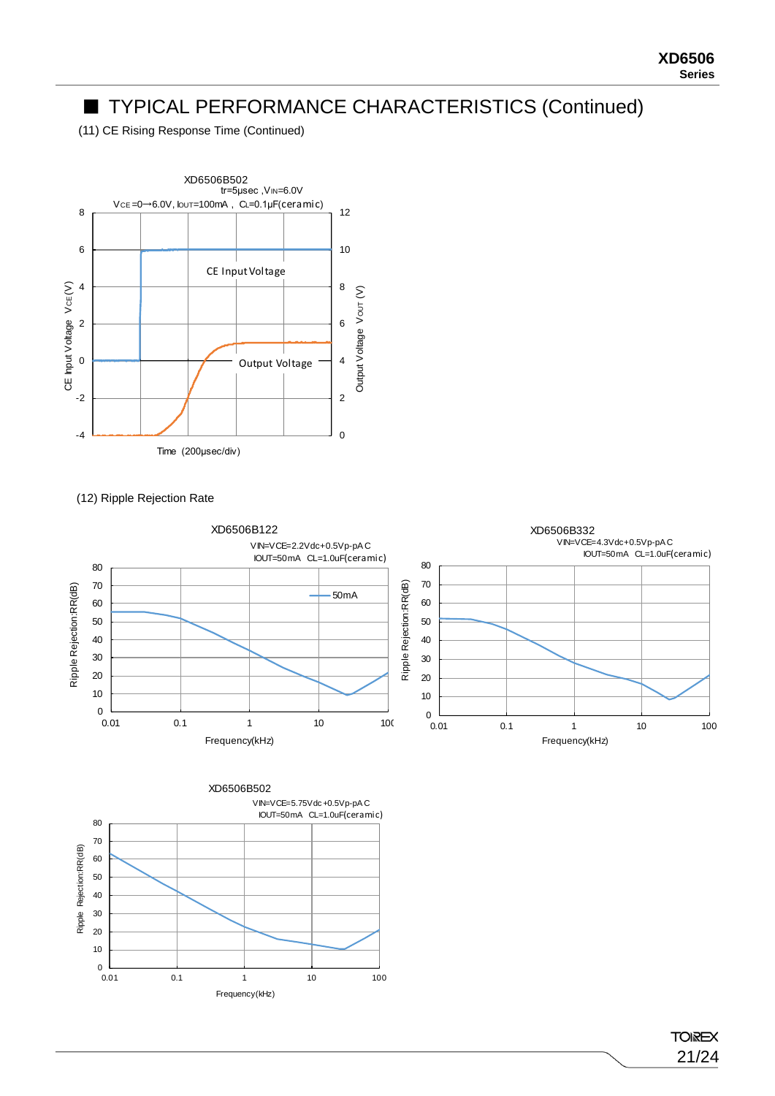(11) CE Rising Response Time (Continued)



(12) Ripple Rejection Rate





**TOIREX** 21/24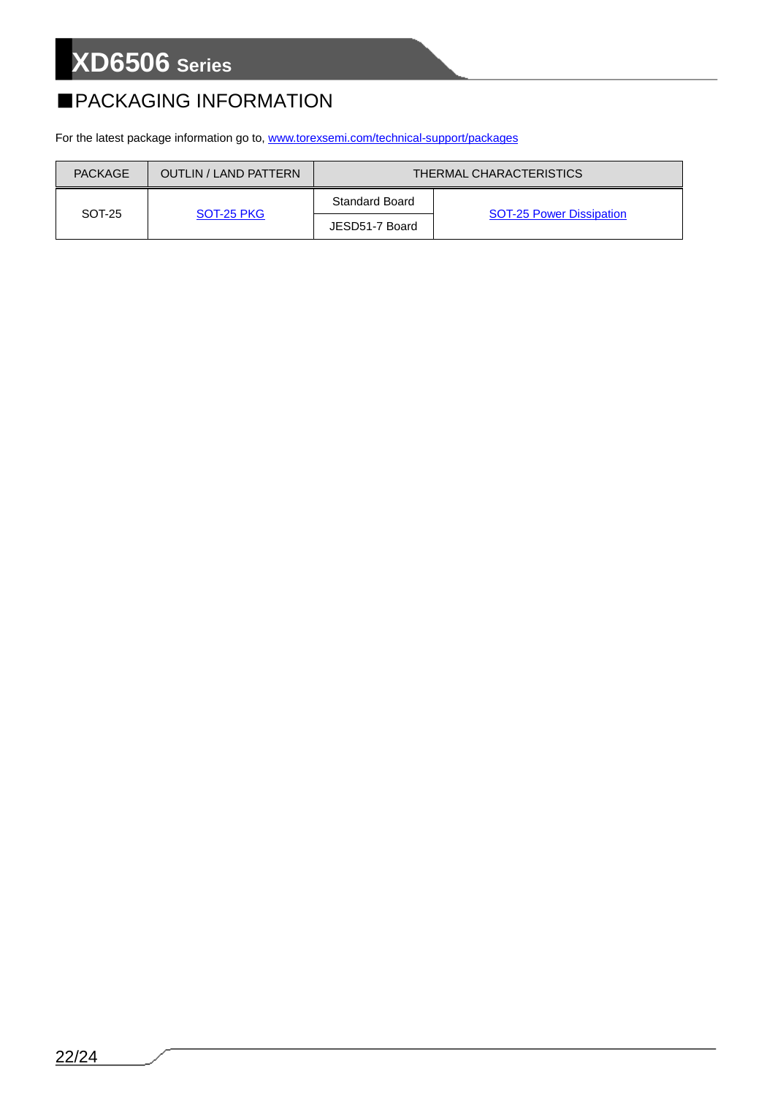## ■PACKAGING INFORMATION

For the latest package information go to, [www.torexsemi.com/technical-support/packages](https://www.torexsemi.com/technical-support/packages/)

| <b>PACKAGE</b> | <b>OUTLIN / LAND PATTERN</b> | <b>THERMAL CHARACTERISTICS</b> |                                 |  |
|----------------|------------------------------|--------------------------------|---------------------------------|--|
| SOT-25         | SOT-25 PKG                   | <b>Standard Board</b>          |                                 |  |
|                |                              | JESD51-7 Board                 | <b>SOT-25 Power Dissipation</b> |  |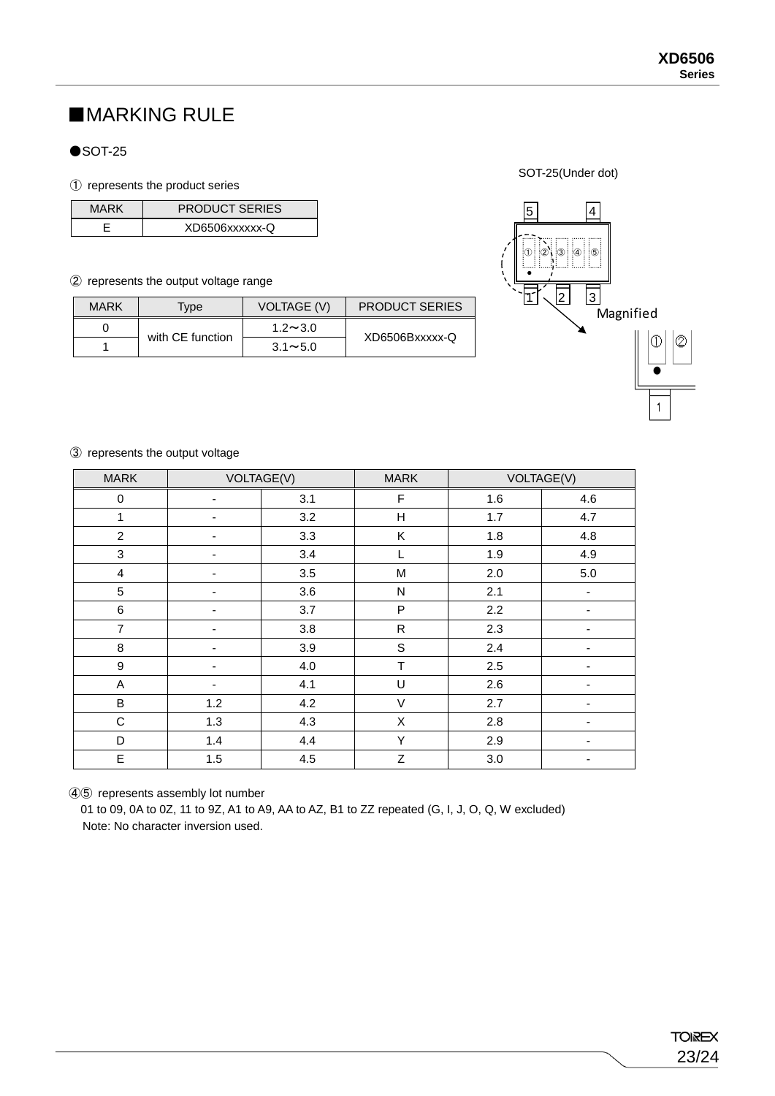## ■MARKING RULE

#### $\bullet$ SOT-25

#### ① represents the product series

| MARK | <b>PRODUCT SERIES</b> |
|------|-----------------------|
|      | XD6506xxxxxx-Q        |

#### ② represents the output voltage range

| <b>MARK</b> | Type             | <b>VOLTAGE (V)</b> | <b>PRODUCT SERIES</b> |
|-------------|------------------|--------------------|-----------------------|
|             |                  | $1.2 \sim 3.0$     |                       |
|             | with CE function | $3.1 \sim 5.0$     | XD6506Bxxxxx-Q        |

SOT-25(Under dot)



#### ③ represents the output voltage

| <b>MARK</b>      | VOLTAGE(V)               |     | <b>MARK</b>  | VOLTAGE(V) |                          |
|------------------|--------------------------|-----|--------------|------------|--------------------------|
| $\pmb{0}$        | $\overline{\phantom{a}}$ | 3.1 | F            | 1.6        | 4.6                      |
| 1                | ۰                        | 3.2 | Н            | 1.7        | 4.7                      |
| $\overline{c}$   | -                        | 3.3 | Κ            | 1.8        | 4.8                      |
| $\mathbf{3}$     |                          | 3.4 | L            | 1.9        | 4.9                      |
| $\overline{4}$   | ۰                        | 3.5 | M            | 2.0        | $5.0\,$                  |
| $\,$ 5 $\,$      | ۰                        | 3.6 | $\mathsf{N}$ | 2.1        | $\overline{\phantom{a}}$ |
| $\,6$            | ٠                        | 3.7 | P            | 2.2        |                          |
| $\overline{7}$   | ۰                        | 3.8 | ${\sf R}$    | 2.3        | ٠                        |
| $\, 8$           | $\overline{\phantom{a}}$ | 3.9 | $\mathbf S$  | 2.4        | $\overline{\phantom{a}}$ |
| $\boldsymbol{9}$ | ۰                        | 4.0 | $\mathsf T$  | 2.5        | ۰                        |
| A                | ۰                        | 4.1 | U            | 2.6        |                          |
| $\sf B$          | 1.2                      | 4.2 | $\vee$       | 2.7        | $\overline{\phantom{a}}$ |
| $\mathsf C$      | 1.3                      | 4.3 | $\mathsf X$  | 2.8        | $\blacksquare$           |
| D                | 1.4                      | 4.4 | Y            | 2.9        |                          |
| $\mathsf E$      | 1.5                      | 4.5 | $\mathsf Z$  | 3.0        | $\overline{\phantom{a}}$ |

④⑤ represents assembly lot number

01 to 09, 0A to 0Z, 11 to 9Z, A1 to A9, AA to AZ, B1 to ZZ repeated (G, I, J, O, Q, W excluded) Note: No character inversion used.